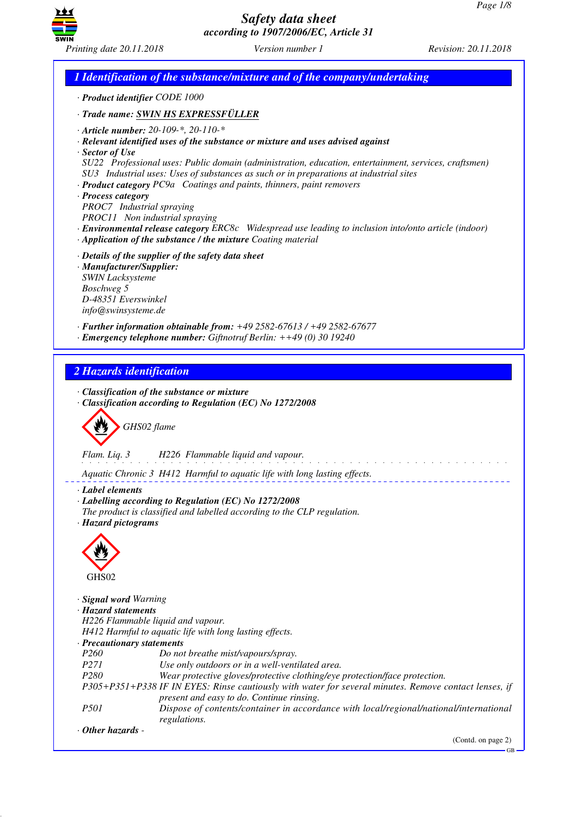

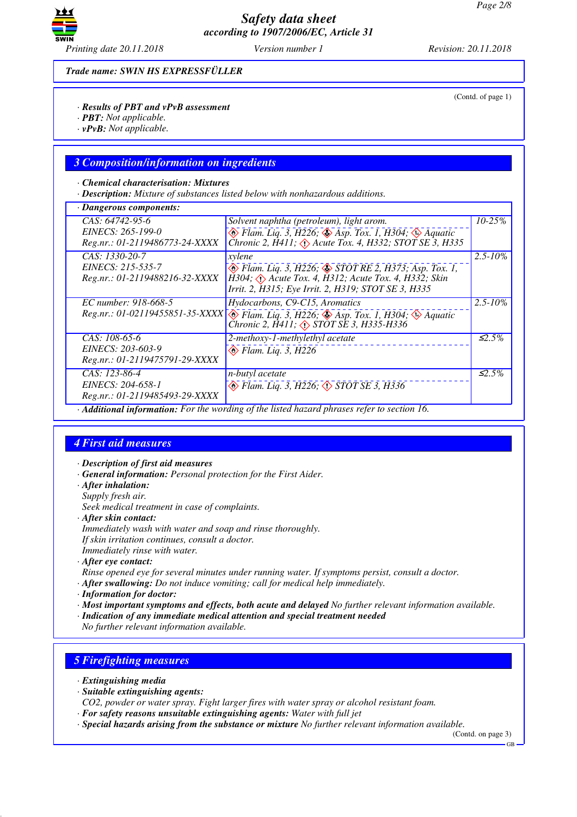

*Trade name: SWIN HS EXPRESSFÜLLER*

*· Results of PBT and vPvB assessment*

- *· PBT: Not applicable.*
- *· vPvB: Not applicable.*

### *3 Composition/information on ingredients*

#### *· Chemical characterisation: Mixtures*

*· Description: Mixture of substances listed below with nonhazardous additions.*

| $\cdot$ Dangerous components:                                            |                                                                                                                                                                                                      |              |
|--------------------------------------------------------------------------|------------------------------------------------------------------------------------------------------------------------------------------------------------------------------------------------------|--------------|
| $CAS: 64742-95-6$<br>EINECS: 265-199-0<br>Reg.nr.: 01-2119486773-24-XXXX | Solvent naphtha (petroleum), light arom.<br>$\otimes$ Flam. Liq. 3, H226; $\otimes$ Asp. Tox. 1, H304; $\otimes$ Aquatic<br>Chronic 2, H411, $\Diamond$ Acute Tox. 4, H332; STOT SE 3, H335          | $10 - 25%$   |
| CAS: 1330-20-7<br>EINECS: 215-535-7<br>Reg.nr.: 01-2119488216-32-XXXX    | xylene<br>$\circledast$ Flam. Liq. 3, H226; $\circledast$ STOT RE 2, H373; Asp. Tox. 1,<br>H304; Acute Tox. 4, H312; Acute Tox. 4, H332; Skin<br>Irrit. 2, H315; Eye Irrit. 2, H319; STOT SE 3, H335 | $2.5 - 10\%$ |
| EC number: 918-668-5                                                     | Hydocarbons, C9-C15, Aromatics<br>Reg.nr.: 01-02119455851-35-XXXX \ Flam. Liq. 3, H226; $\circledast$ Asp. Tox. 1, H304; $\circledast$ Aquatic<br>Chronic 2, H411; <> STOT SE 3, H335-H336           | $2.5 - 10\%$ |
| CAS: 108-65-6<br>EINECS: 203-603-9<br>Reg.nr.: 01-2119475791-29-XXXX     | 2-methoxy-1-methylethyl acetate<br>$\otimes$ Flam. Liq. 3, H226                                                                                                                                      | $\leq 2.5\%$ |
| $CAS: 123-86-4$<br>EINECS: 204-658-1<br>Reg.nr.: 01-2119485493-29-XXXX   | n-butyl acetate<br>$\otimes$ Flam. Lig. 3, H226; $\otimes$ STOT SE 3, H336                                                                                                                           | $\leq 2.5\%$ |
|                                                                          | Additional information: For the wording of the listed hazard phrases refer to section 16.                                                                                                            |              |

## *4 First aid measures*

- *· Description of first aid measures*
- *· General information: Personal protection for the First Aider.*
- *· After inhalation:*
- *Supply fresh air.*

*Seek medical treatment in case of complaints.*

- *· After skin contact:*
- *Immediately wash with water and soap and rinse thoroughly.*
- *If skin irritation continues, consult a doctor.*

*Immediately rinse with water.*

- *· After eye contact:*
- *Rinse opened eye for several minutes under running water. If symptoms persist, consult a doctor.*
- *· After swallowing: Do not induce vomiting; call for medical help immediately.*
- *· Information for doctor:*

*· Most important symptoms and effects, both acute and delayed No further relevant information available.*

*· Indication of any immediate medical attention and special treatment needed*

*No further relevant information available.*

## *5 Firefighting measures*

*· Extinguishing media*

*· Suitable extinguishing agents:*

*CO2, powder or water spray. Fight larger fires with water spray or alcohol resistant foam.*

- *· For safety reasons unsuitable extinguishing agents: Water with full jet*
- *· Special hazards arising from the substance or mixture No further relevant information available.*

(Contd. on page 3) GB

<sup>(</sup>Contd. of page 1)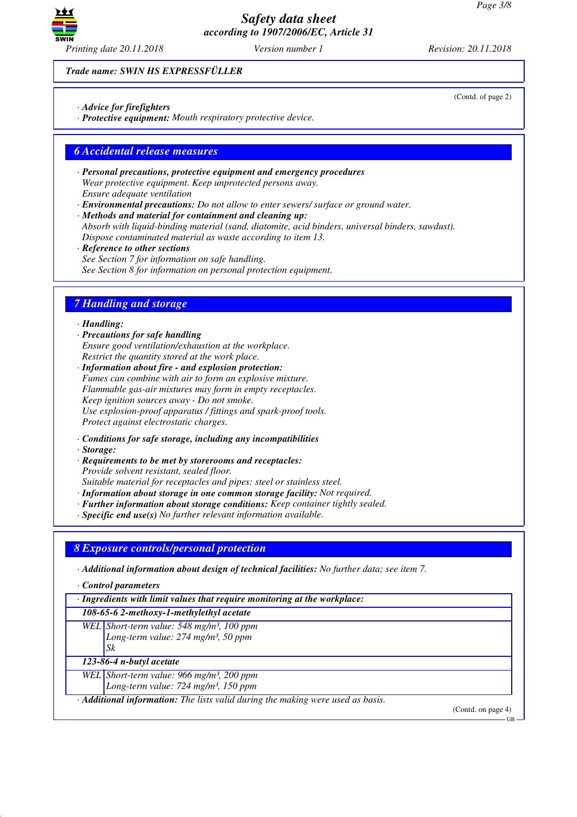

*Trade name: SWIN HS EXPRESSFÜLLER*

- *· Advice for firefighters*
- *· Protective equipment: Mouth respiratory protective device.*

### *6 Accidental release measures*

- *· Personal precautions, protective equipment and emergency procedures Wear protective equipment. Keep unprotected persons away. Ensure adequate ventilation*
- *· Environmental precautions: Do not allow to enter sewers/ surface or ground water.*

*· Methods and material for containment and cleaning up: Absorb with liquid-binding material (sand, diatomite, acid binders, universal binders, sawdust). Dispose contaminated material as waste according to item 13.*

- *· Reference to other sections See Section 7 for information on safe handling.*
- *See Section 8 for information on personal protection equipment.*

## *7 Handling and storage*

#### *· Handling:*

- *· Precautions for safe handling Ensure good ventilation/exhaustion at the workplace. Restrict the quantity stored at the work place.*
- *· Information about fire and explosion protection: Fumes can combine with air to form an explosive mixture. Flammable gas-air mixtures may form in empty receptacles. Keep ignition sources away - Do not smoke. Use explosion-proof apparatus / fittings and spark-proof tools. Protect against electrostatic charges.*
- *· Conditions for safe storage, including any incompatibilities*
- *· Storage:*
- *· Requirements to be met by storerooms and receptacles: Provide solvent resistant, sealed floor. Suitable material for receptacles and pipes: steel or stainless steel.*
- *· Information about storage in one common storage facility: Not required.*
- *· Further information about storage conditions: Keep container tightly sealed.*
- *· Specific end use(s) No further relevant information available.*

### *8 Exposure controls/personal protection*

*· Additional information about design of technical facilities: No further data; see item 7.*

*· Control parameters*

*· Ingredients with limit values that require monitoring at the workplace:*

*108-65-6 2-methoxy-1-methylethyl acetate*

*WEL Short-term value: 548 mg/m³, 100 ppm Long-term value: 274 mg/m³, 50 ppm Sk*

*123-86-4 n-butyl acetate*

*WEL Short-term value: 966 mg/m³, 200 ppm*

*Long-term value: 724 mg/m³, 150 ppm*

*· Additional information: The lists valid during the making were used as basis.*

(Contd. on page 4)

 $-GR$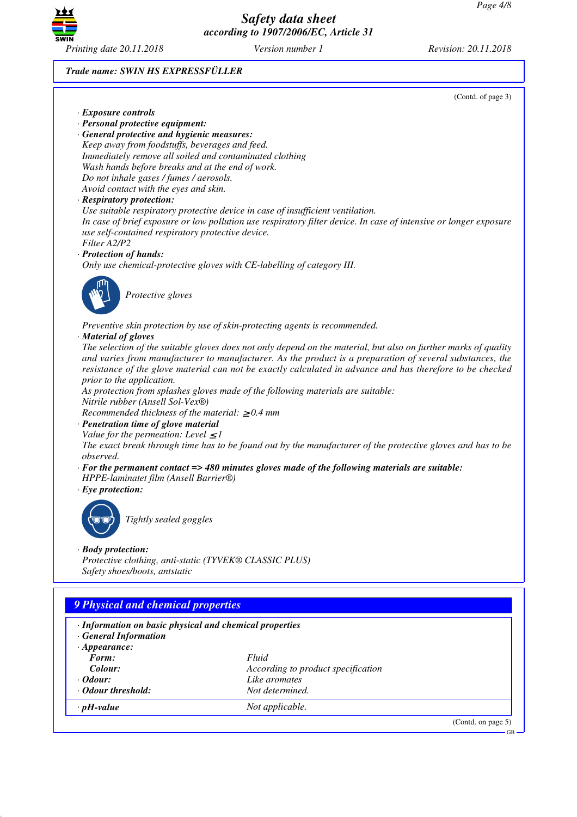

*Printing date 20.11.2018 Version number 1 Revision: 20.11.2018*

#### *Trade name: SWIN HS EXPRESSFÜLLER*

(Contd. of page 3)

- *· Exposure controls*
- *· Personal protective equipment:*

*· General protective and hygienic measures: Keep away from foodstuffs, beverages and feed. Immediately remove all soiled and contaminated clothing Wash hands before breaks and at the end of work. Do not inhale gases / fumes / aerosols. Avoid contact with the eyes and skin.*

#### *· Respiratory protection:*

*Use suitable respiratory protective device in case of insufficient ventilation. In case of brief exposure or low pollution use respiratory filter device. In case of intensive or longer exposure use self-contained respiratory protective device. Filter A2/P2*

#### *· Protection of hands:*

*Only use chemical-protective gloves with CE-labelling of category III.*



\_S*Protective gloves*

*Preventive skin protection by use of skin-protecting agents is recommended.*

#### *· Material of gloves*

*The selection of the suitable gloves does not only depend on the material, but also on further marks of quality and varies from manufacturer to manufacturer. As the product is a preparation of several substances, the resistance of the glove material can not be exactly calculated in advance and has therefore to be checked prior to the application.*

*As protection from splashes gloves made of the following materials are suitable: Nitrile rubber (Ansell Sol-Vex®)*

*Recommended thickness of the material:* ≥ *0.4 mm*

*· Penetration time of glove material*

*Value for the permeation: Level*  $\leq$  *1* 

*The exact break through time has to be found out by the manufacturer of the protective gloves and has to be observed.*

- *· For the permanent contact => 480 minutes gloves made of the following materials are suitable:*
- *HPPE-laminatet film (Ansell Barrier®)*
- *· Eye protection:*



\_R*Tightly sealed goggles*

#### *· Body protection:*

*Protective clothing, anti-static (TYVEK® CLASSIC PLUS) Safety shoes/boots, antstatic*

# *9 Physical and chemical properties*

| · Information on basic physical and chemical properties<br>· General Information |                                    |                       |
|----------------------------------------------------------------------------------|------------------------------------|-----------------------|
| $\cdot$ Appearance:                                                              |                                    |                       |
| Form:                                                                            | Fluid                              |                       |
| Colour:                                                                          | According to product specification |                       |
| $\cdot$ Odour:                                                                   | Like aromates                      |                       |
| • Odour threshold:                                                               | Not determined.                    |                       |
| $\cdot$ pH-value                                                                 | Not applicable.                    |                       |
|                                                                                  |                                    | (Contd. on page $5$ ) |

GB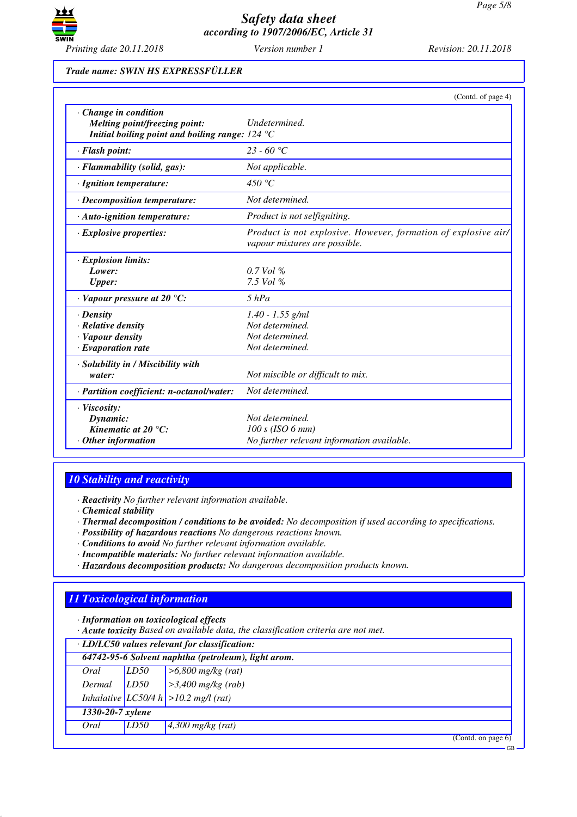

### *Trade name: SWIN HS EXPRESSFÜLLER*

|                                                                                                                                         | (Contd. of page 4)                                                                              |
|-----------------------------------------------------------------------------------------------------------------------------------------|-------------------------------------------------------------------------------------------------|
| $\cdot$ Change in condition<br>Melting point/freezing point:<br>Initial boiling point and boiling range: $124 \text{ }^{\circ}\text{C}$ | Undetermined.                                                                                   |
| · Flash point:                                                                                                                          | $23 - 60 °C$                                                                                    |
| · Flammability (solid, gas):                                                                                                            | Not applicable.                                                                                 |
| · Ignition temperature:                                                                                                                 | 450 $\degree$ C                                                                                 |
| · Decomposition temperature:                                                                                                            | Not determined.                                                                                 |
| $\cdot$ Auto-ignition temperature:                                                                                                      | Product is not selfigniting.                                                                    |
| $\cdot$ Explosive properties:                                                                                                           | Product is not explosive. However, formation of explosive air/<br>vapour mixtures are possible. |
| · Explosion limits:                                                                                                                     |                                                                                                 |
| Lower:                                                                                                                                  | $0.7$ Vol %                                                                                     |
| <b>Upper:</b>                                                                                                                           | 7.5 Vol %                                                                                       |
| $\cdot$ Vapour pressure at 20 $\degree$ C:                                                                                              | $5$ $hPa$                                                                                       |
| $\cdot$ Density                                                                                                                         | $1.40 - 1.55$ g/ml                                                                              |
| · Relative density                                                                                                                      | Not determined.                                                                                 |
| · Vapour density                                                                                                                        | Not determined.                                                                                 |
| $\cdot$ Evaporation rate                                                                                                                | Not determined.                                                                                 |
| · Solubility in / Miscibility with<br>water:                                                                                            | Not miscible or difficult to mix.                                                               |
| · Partition coefficient: n-octanol/water:                                                                                               | Not determined.                                                                                 |
| $\cdot$ Viscosity:<br>Dynamic:<br>Kinematic at 20 $^{\circ}$ C:<br>$\cdot$ Other information                                            | Not determined.<br>$100 s$ (ISO 6 mm)<br>No further relevant information available.             |

# *10 Stability and reactivity*

*· Reactivity No further relevant information available.*

*· Chemical stability*

- *· Thermal decomposition / conditions to be avoided: No decomposition if used according to specifications.*
- *· Possibility of hazardous reactions No dangerous reactions known.*
- *· Conditions to avoid No further relevant information available.*
- *· Incompatible materials: No further relevant information available.*
- *· Hazardous decomposition products: No dangerous decomposition products known.*

# *11 Toxicological information*

*· Information on toxicological effects*

*· Acute toxicity Based on available data, the classification criteria are not met.*

| · LD/LC50 values relevant for classification:       |      |                                           |  |  |
|-----------------------------------------------------|------|-------------------------------------------|--|--|
| 64742-95-6 Solvent naphtha (petroleum), light arom. |      |                                           |  |  |
| Oral                                                | LD50 | $>6,800$ mg/kg (rat)                      |  |  |
| Dermal                                              | LD50 | $\geq$ 3,400 mg/kg (rab)                  |  |  |
|                                                     |      | Inhalative $ LC50/4 h  > 10.2$ mg/l (rat) |  |  |
| 1330-20-7 xylene                                    |      |                                           |  |  |
| Oral                                                | LD50 | $4,300$ mg/kg (rat)                       |  |  |
|                                                     |      | (Cond. on page 6)                         |  |  |

GB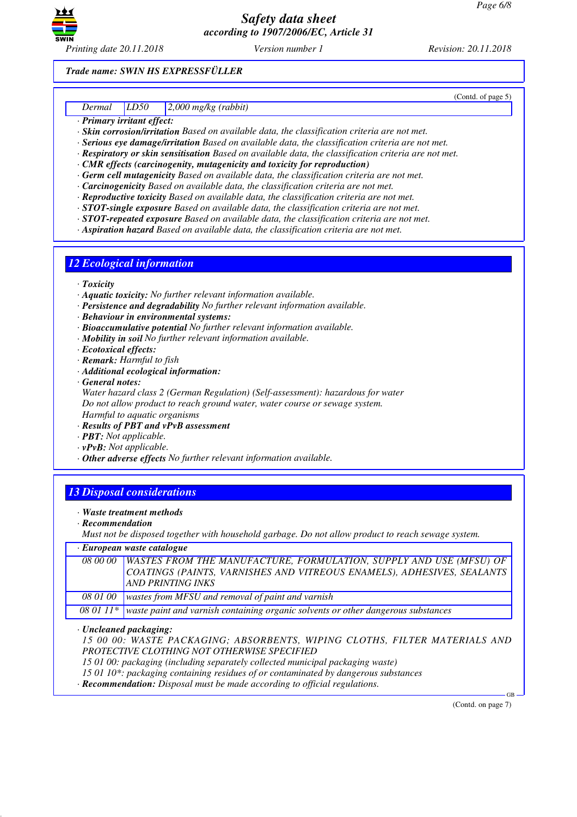

(Contd. of page 5)

*Trade name: SWIN HS EXPRESSFÜLLER*

### *Dermal LD50 2,000 mg/kg (rabbit)*

*· Primary irritant effect:*

*· Skin corrosion/irritation Based on available data, the classification criteria are not met.*

- *· Serious eye damage/irritation Based on available data, the classification criteria are not met.*
- *· Respiratory or skin sensitisation Based on available data, the classification criteria are not met.*
- *· CMR effects (carcinogenity, mutagenicity and toxicity for reproduction)*
- *· Germ cell mutagenicity Based on available data, the classification criteria are not met.*
- *· Carcinogenicity Based on available data, the classification criteria are not met.*
- *· Reproductive toxicity Based on available data, the classification criteria are not met.*
- *· STOT-single exposure Based on available data, the classification criteria are not met.*
- *· STOT-repeated exposure Based on available data, the classification criteria are not met.*
- *· Aspiration hazard Based on available data, the classification criteria are not met.*

### *12 Ecological information*

- *· Toxicity*
- *· Aquatic toxicity: No further relevant information available.*
- *· Persistence and degradability No further relevant information available.*
- *· Behaviour in environmental systems:*
- *· Bioaccumulative potential No further relevant information available.*
- *· Mobility in soil No further relevant information available.*
- *· Ecotoxical effects:*
- *· Remark: Harmful to fish*
- *· Additional ecological information:*
- *· General notes:*

*Water hazard class 2 (German Regulation) (Self-assessment): hazardous for water Do not allow product to reach ground water, water course or sewage system. Harmful to aquatic organisms*

*· Results of PBT and vPvB assessment*

- *· PBT: Not applicable.*
- *· vPvB: Not applicable.*
- *· Other adverse effects No further relevant information available.*

# *13 Disposal considerations*

- *· Waste treatment methods*
- *· Recommendation*

*Must not be disposed together with household garbage. Do not allow product to reach sewage system.*

*· European waste catalogue*

|          | 08 00 00 WASTES FROM THE MANUFACTURE, FORMULATION, SUPPLY AND USE (MFSU) OF |
|----------|-----------------------------------------------------------------------------|
|          | COATINGS (PAINTS, VARNISHES AND VITREOUS ENAMELS), ADHESIVES, SEALANTS      |
|          | AND PRINTING INKS                                                           |
|          |                                                                             |
| 08 01 00 | wastes from MFSU and removal of paint and varnish                           |

*08 01 11\* waste paint and varnish containing organic solvents or other dangerous substances*

*· Uncleaned packaging:*

*15 00 00: WASTE PACKAGING; ABSORBENTS, WIPING CLOTHS, FILTER MATERIALS AND PROTECTIVE CLOTHING NOT OTHERWISE SPECIFIED*

*15 01 00: packaging (including separately collected municipal packaging waste)*

*15 01 10\*: packaging containing residues of or contaminated by dangerous substances*

*· Recommendation: Disposal must be made according to official regulations.*

(Contd. on page 7)

GB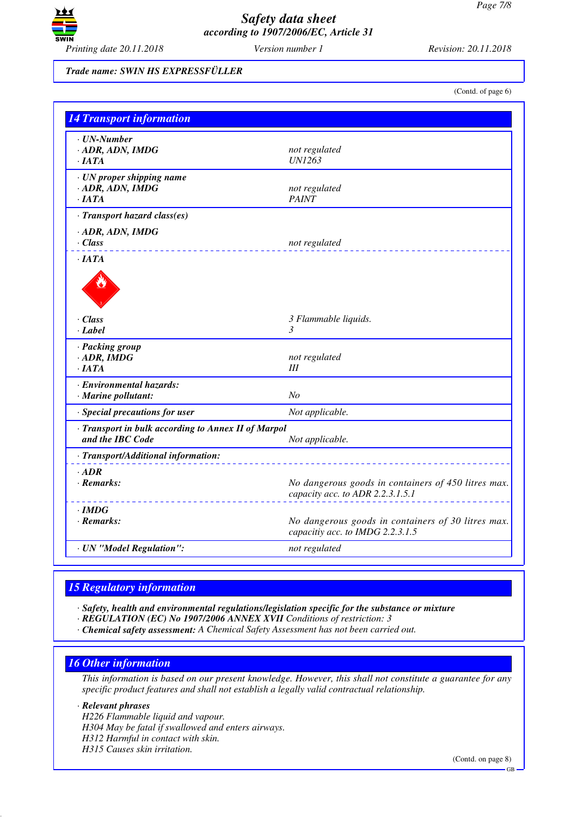

*Trade name: SWIN HS EXPRESSFÜLLER*

(Contd. of page 6)

| <b>14 Transport information</b>                                         |                                                                                         |
|-------------------------------------------------------------------------|-----------------------------------------------------------------------------------------|
| $\cdot$ UN-Number<br>· ADR, ADN, IMDG<br>$\cdot$ JATA                   | not regulated<br><b>UN1263</b>                                                          |
| · UN proper shipping name<br>$-$ ADR, ADN, IMDG<br>·IATA                | not regulated<br><b>PAINT</b>                                                           |
| · Transport hazard class(es)                                            |                                                                                         |
| $\cdot$ ADR, ADN, IMDG<br>$\cdot$ Class                                 | not regulated                                                                           |
| $\cdot$ JATA                                                            |                                                                                         |
| $\cdot$ Class<br>· Label                                                | 3 Flammable liquids.<br>$\mathfrak{Z}$                                                  |
| · Packing group<br>$\cdot$ ADR, IMDG<br>$\cdot$ IATA                    | not regulated<br>Ш                                                                      |
| · Environmental hazards:<br>$\cdot$ Marine pollutant:                   | No                                                                                      |
| · Special precautions for user                                          | Not applicable.                                                                         |
| · Transport in bulk according to Annex II of Marpol<br>and the IBC Code | Not applicable.                                                                         |
| · Transport/Additional information:                                     |                                                                                         |
| $\cdot$ ADR<br>$\cdot$ Remarks:                                         | No dangerous goods in containers of 450 litres max.<br>capacity acc. to ADR 2.2.3.1.5.1 |
| $\cdot$ IMDG<br>$\cdot$ Remarks:                                        | No dangerous goods in containers of 30 litres max.<br>capacitiy acc. to IMDG 2.2.3.1.5  |
| · UN "Model Regulation":                                                | not regulated                                                                           |

# *15 Regulatory information*

*· Safety, health and environmental regulations/legislation specific for the substance or mixture*

- *· REGULATION (EC) No 1907/2006 ANNEX XVII Conditions of restriction: 3*
- *· Chemical safety assessment: A Chemical Safety Assessment has not been carried out.*

# *16 Other information*

*This information is based on our present knowledge. However, this shall not constitute a guarantee for any specific product features and shall not establish a legally valid contractual relationship.*

*· Relevant phrases*

*H226 Flammable liquid and vapour. H304 May be fatal if swallowed and enters airways. H312 Harmful in contact with skin. H315 Causes skin irritation.*

GB